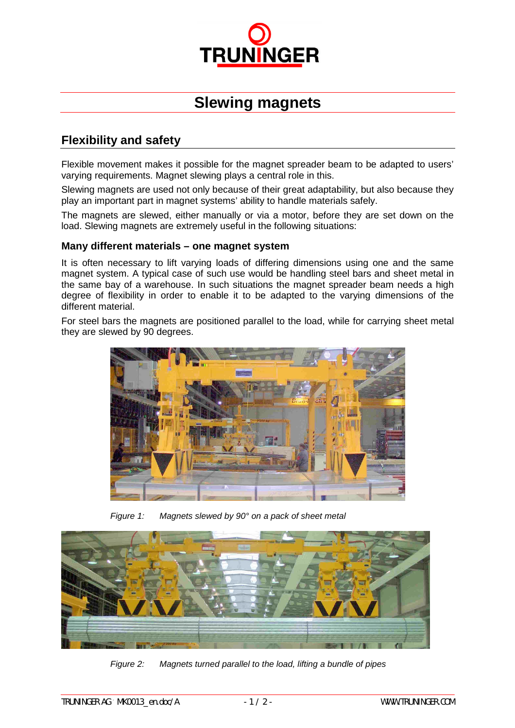

# **Slewing magnets**

## **Flexibility and safety**

Flexible movement makes it possible for the magnet spreader beam to be adapted to users' varying requirements. Magnet slewing plays a central role in this.

Slewing magnets are used not only because of their great adaptability, but also because they play an important part in magnet systems' ability to handle materials safely.

The magnets are slewed, either manually or via a motor, before they are set down on the load. Slewing magnets are extremely useful in the following situations:

#### **Many different materials – one magnet system**

It is often necessary to lift varying loads of differing dimensions using one and the same magnet system. A typical case of such use would be handling steel bars and sheet metal in the same bay of a warehouse. In such situations the magnet spreader beam needs a high degree of flexibility in order to enable it to be adapted to the varying dimensions of the different material.

For steel bars the magnets are positioned parallel to the load, while for carrying sheet metal they are slewed by 90 degrees.



*Figure 1: Magnets slewed by 90° on a pack of sheet metal*



*Figure 2: Magnets turned parallel to the load, lifting a bundle of pipes*